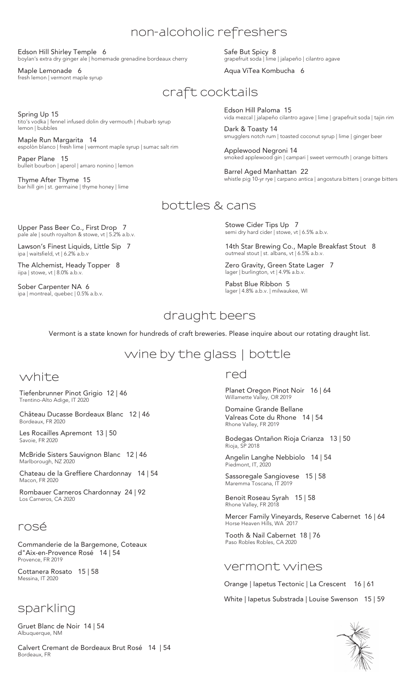## **non-alcoholic refreshers**

Edson Hill Shirley Temple 6 boylan's extra dry ginger ale | homemade grenadine bordeaux cherry

tito's vodka | fennel infused dolin dry vermouth | rhubarb syrup

espolòn blanco | fresh lime | vermont maple syrup | sumac salt rim

Maple Lemonade 6 fresh lemon | vermont maple syrup

Maple Run Margarita 14

Thyme After Thyme 15

Spring Up 15

lemon | bubbles

Paper Plane 15

Safe But Spicy 8 grapefruit soda | lime | jalapeño | cilantro agave

Aqua ViTea Kombucha 6

# **craft cocktails**

Edson Hill Paloma 15 vida mezcal | jalapeño cilantro agave | lime | grapefruit soda | tajin rim

Dark & Toasty 14 smugglers notch rum | toasted coconut syrup | lime | ginger beer

Applewood Negroni 14 smoked applewood gin | campari | sweet vermouth | orange bitters

Barrel Aged Manhattan 22 whistle pig 10-yr rye | carpano antica | angostura bitters | orange bitters

### **bottles & cans**

Upper Pass Beer Co., First Drop 7 pale ale | south royalton & stowe, vt | 5.2% a.b.v.

bulleit bourbon | aperol | amaro nonino | lemon

bar hill gin | st. germaine | thyme honey | lime

Lawson's Finest Liquids, Little Sip 7 ipa | waitsfield, vt | 6.2% a.b.v

The Alchemist, Heady Topper 8 iipa | stowe, vt | 8.0% a.b.v.

Sober Carpenter NA 6 ipa | montreal, quebec | 0.5% a.b.v.

Stowe Cider Tips Up 7 semi dry hard cider | stowe, vt | 6.5% a.b.v.

14th Star Brewing Co., Maple Breakfast Stout 8 outmeal stout | st. albans, vt | 6.5% a.b.v.

Zero Gravity, Green State Lager 7 lager | burlington, vt | 4.9% a.b.v.

Pabst Blue Ribbon 5 lager | 4.8% a.b.v. | milwaukee, WI

## **draught beers**

Vermont is a state known for hundreds of craft breweries. Please inquire about our rotating draught list.

# **wine by the glass | bottle**

### **white**

Tiefenbrunner Pinot Grigio 12 | 46 Trentino-Alto Adige, IT 2020

Château Ducasse Bordeaux Blanc 12 | 46 Bordeaux, FR 2020

Les Rocailles Apremont 13 | 50 Savoie, FR 2020

McBride Sisters Sauvignon Blanc 12 | 46 Marlborough, NZ 2020

Chateau de la Greffiere Chardonnay 14 | 54 Macon, FR 2020

Rombauer Carneros Chardonnay 24 | 92 Los Carneros, CA 2020

#### **rosé**

Commanderie de la Bargemone, Coteaux d"Aix-en-Provence Rosé 14 | 54 Provence, FR 2019

Cottanera Rosato 15 | 58 Messina, IT 2020

### **sparkling**

Gruet Blanc de Noir 14 | 54 Albuquerque, NM

Calvert Cremant de Bordeaux Brut Rosé 14 | 54 Bordeaux, FR

#### **red**

Planet Oregon Pinot Noir 16 | 64 Willamette Valley, OR 2019

Domaine Grande Bellane Valreas Cote du Rhone 14 | 54 Rhone Valley, FR 2019

Bodegas Ontañon Rioja Crianza 13 | 50 Rioja, SP 2018

Angelin Langhe Nebbiolo 14 | 54 Piedmont, IT, 2020

Sassoregale Sangiovese 15 | 58 Maremma Toscana, IT 2019

Benoit Roseau Syrah 15 | 58 Rhone Valley, FR 2018

Mercer Family Vineyards, Reserve Cabernet 16 | 64 Horse Heaven Hills, WA 2017

Tooth & Nail Cabernet 18 | 76 Paso Robles Robles, CA 2020

#### **vermont wines**

Orange | Iapetus Tectonic | La Crescent 16 | 61

White | Iapetus Substrada | Louise Swenson 15 | 59